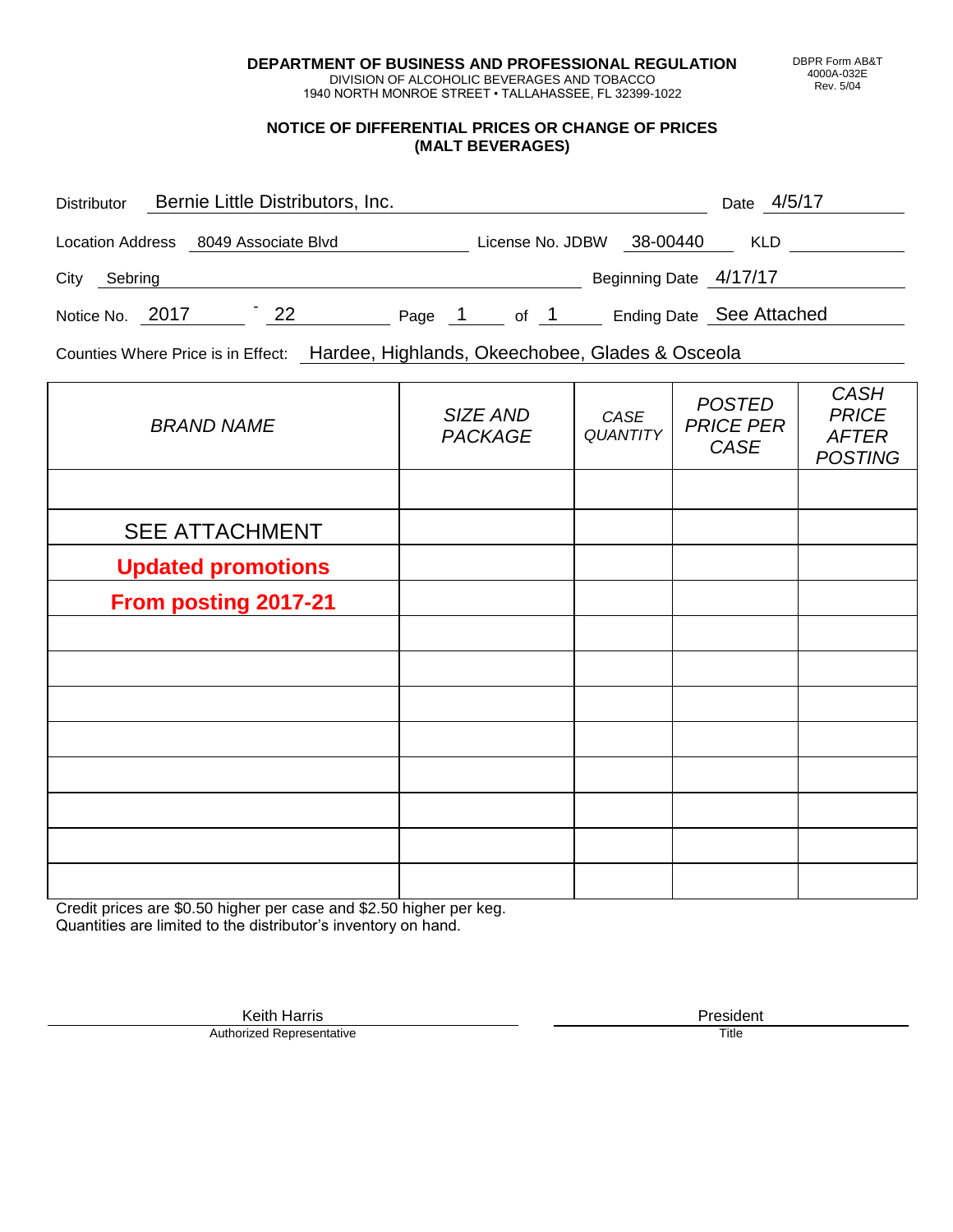**DEPARTMENT OF BUSINESS AND PROFESSIONAL REGULATION** DIVISION OF ALCOHOLIC BEVERAGES AND TOBACCO

1940 NORTH MONROE STREET • TALLAHASSEE, FL 32399-1022

#### **NOTICE OF DIFFERENTIAL PRICES OR CHANGE OF PRICES (MALT BEVERAGES)**

| <b>Distributor</b> |                         | Bernie Little Distributors, Inc. |    |        |                  |      |                          | Date       | 4/5/17 |
|--------------------|-------------------------|----------------------------------|----|--------|------------------|------|--------------------------|------------|--------|
|                    | <b>Location Address</b> | 8049 Associate Blvd              |    |        | License No. JDBW |      | 38-00440                 | <b>KLD</b> |        |
| City               | Sebring                 |                                  |    |        |                  |      | Beginning Date 4/17/17   |            |        |
|                    | Notice No. 2017         |                                  | 22 | Page 1 |                  | of 1 | Ending Date See Attached |            |        |

Counties Where Price is in Effect: Hardee, Highlands, Okeechobee, Glades & Osceola

| <b>BRAND NAME</b>         | SIZE AND<br><b>PACKAGE</b> | CASE<br><b>QUANTITY</b> | <b>POSTED</b><br><b>PRICE PER</b><br>CASE | <b>CASH</b><br><b>PRICE</b><br><b>AFTER</b><br><b>POSTING</b> |
|---------------------------|----------------------------|-------------------------|-------------------------------------------|---------------------------------------------------------------|
|                           |                            |                         |                                           |                                                               |
| <b>SEE ATTACHMENT</b>     |                            |                         |                                           |                                                               |
| <b>Updated promotions</b> |                            |                         |                                           |                                                               |
| From posting 2017-21      |                            |                         |                                           |                                                               |
|                           |                            |                         |                                           |                                                               |
|                           |                            |                         |                                           |                                                               |
|                           |                            |                         |                                           |                                                               |
|                           |                            |                         |                                           |                                                               |
|                           |                            |                         |                                           |                                                               |
|                           |                            |                         |                                           |                                                               |
|                           |                            |                         |                                           |                                                               |
|                           |                            |                         |                                           |                                                               |

Credit prices are \$0.50 higher per case and \$2.50 higher per keg. Quantities are limited to the distributor's inventory on hand.

> Keith Harris **President**<br> **President**<br>
> Prized Representative **President** Authorized Representative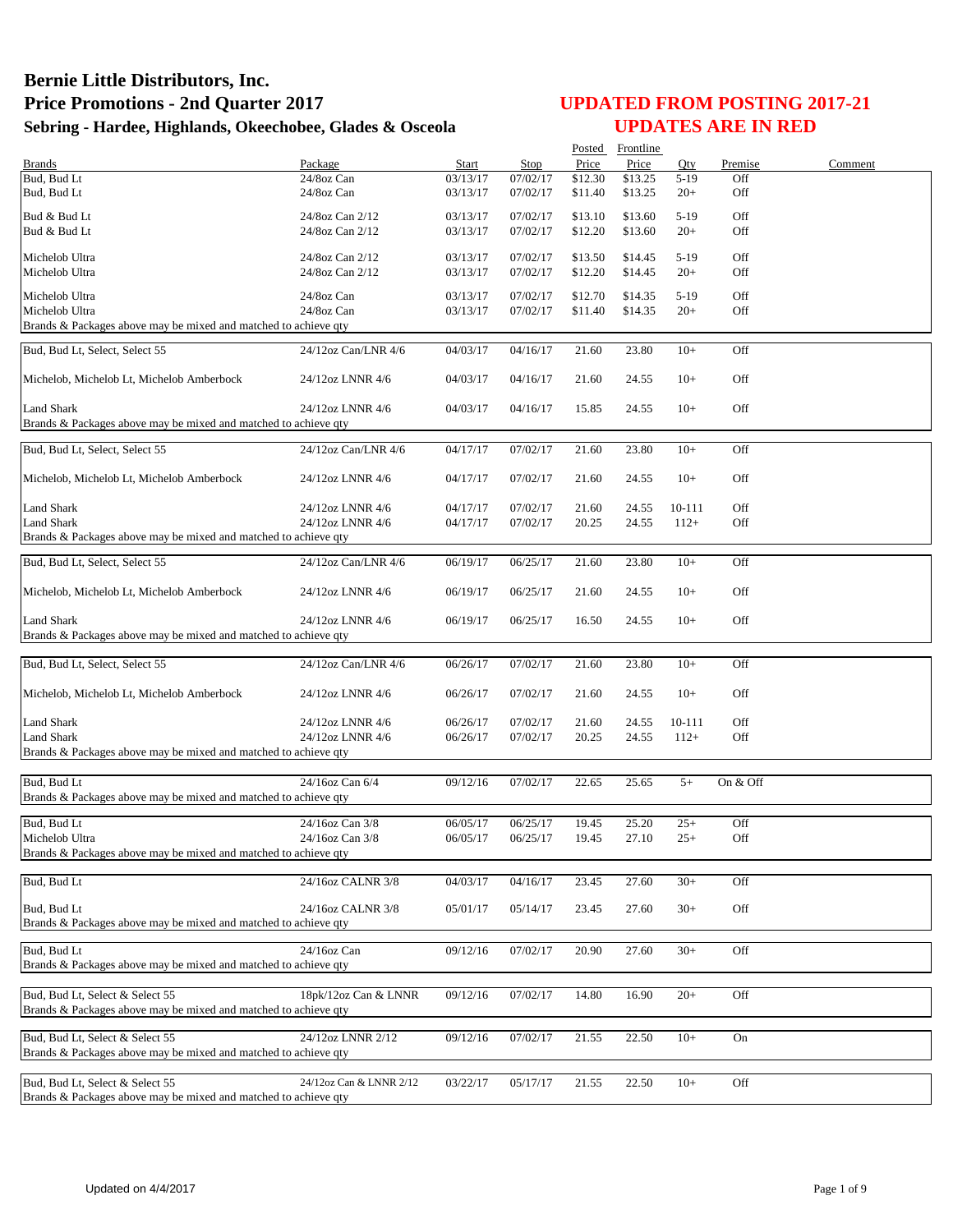|                                                                                |                         |          |          |         | Posted Frontline |        |           |         |
|--------------------------------------------------------------------------------|-------------------------|----------|----------|---------|------------------|--------|-----------|---------|
| Brands                                                                         | Package                 | Start    | Stop     | Price   | Price            | Oty    | Premise   | Comment |
| Bud, Bud Lt                                                                    | 24/8oz Can              | 03/13/17 | 07/02/17 | \$12.30 | \$13.25          | $5-19$ | Off       |         |
| Bud, Bud Lt                                                                    | 24/8oz Can              | 03/13/17 | 07/02/17 | \$11.40 | \$13.25          | $20+$  | Off       |         |
| Bud & Bud Lt                                                                   | 24/8oz Can 2/12         | 03/13/17 | 07/02/17 | \$13.10 | \$13.60          | $5-19$ | Off       |         |
| Bud & Bud Lt                                                                   | 24/8oz Can 2/12         | 03/13/17 | 07/02/17 | \$12.20 | \$13.60          | $20+$  | Off       |         |
|                                                                                |                         |          |          |         |                  |        |           |         |
| Michelob Ultra                                                                 | 24/8oz Can 2/12         | 03/13/17 | 07/02/17 | \$13.50 | \$14.45          | $5-19$ | Off       |         |
| Michelob Ultra                                                                 | 24/8oz Can 2/12         | 03/13/17 | 07/02/17 | \$12.20 | \$14.45          | $20+$  | Off       |         |
| Michelob Ultra                                                                 | 24/8oz Can              | 03/13/17 | 07/02/17 | \$12.70 | \$14.35          | $5-19$ | Off       |         |
| Michelob Ultra                                                                 | 24/8oz Can              | 03/13/17 | 07/02/17 | \$11.40 | \$14.35          | $20+$  | Off       |         |
| Brands & Packages above may be mixed and matched to achieve qty                |                         |          |          |         |                  |        |           |         |
|                                                                                |                         |          |          |         |                  |        |           |         |
| Bud, Bud Lt, Select, Select 55                                                 | 24/12oz Can/LNR 4/6     | 04/03/17 | 04/16/17 | 21.60   | 23.80            | $10+$  | Off       |         |
|                                                                                |                         |          |          |         |                  |        |           |         |
| Michelob, Michelob Lt, Michelob Amberbock                                      | 24/12oz LNNR 4/6        | 04/03/17 | 04/16/17 | 21.60   | 24.55            | $10+$  | Off       |         |
| <b>Land Shark</b>                                                              |                         |          |          |         |                  |        | Off       |         |
| Brands & Packages above may be mixed and matched to achieve qty                | 24/12oz LNNR 4/6        | 04/03/17 | 04/16/17 | 15.85   | 24.55            | $10+$  |           |         |
|                                                                                |                         |          |          |         |                  |        |           |         |
| Bud, Bud Lt, Select, Select 55                                                 | 24/12oz Can/LNR 4/6     | 04/17/17 | 07/02/17 | 21.60   | 23.80            | $10+$  | Off       |         |
|                                                                                |                         |          |          |         |                  |        |           |         |
| Michelob, Michelob Lt, Michelob Amberbock                                      | 24/12oz LNNR 4/6        | 04/17/17 | 07/02/17 | 21.60   | 24.55            | $10+$  | Off       |         |
|                                                                                |                         |          |          |         |                  |        |           |         |
| <b>Land Shark</b>                                                              | 24/12oz LNNR 4/6        | 04/17/17 | 07/02/17 | 21.60   | 24.55            | 10-111 | Off       |         |
| <b>Land Shark</b>                                                              | 24/12oz LNNR 4/6        | 04/17/17 | 07/02/17 | 20.25   | 24.55            | $112+$ | Off       |         |
| Brands & Packages above may be mixed and matched to achieve qty                |                         |          |          |         |                  |        |           |         |
| Bud, Bud Lt, Select, Select 55                                                 | 24/12oz Can/LNR 4/6     | 06/19/17 | 06/25/17 | 21.60   | 23.80            | $10+$  | Off       |         |
|                                                                                |                         |          |          |         |                  |        |           |         |
| Michelob, Michelob Lt, Michelob Amberbock                                      | 24/12oz LNNR 4/6        | 06/19/17 | 06/25/17 | 21.60   | 24.55            | $10+$  | Off       |         |
|                                                                                |                         |          |          |         |                  |        |           |         |
| Land Shark                                                                     | 24/12oz LNNR 4/6        | 06/19/17 | 06/25/17 | 16.50   | 24.55            | $10+$  | Off       |         |
| Brands & Packages above may be mixed and matched to achieve qty                |                         |          |          |         |                  |        |           |         |
|                                                                                |                         |          |          |         |                  |        |           |         |
| Bud, Bud Lt, Select, Select 55                                                 | 24/12oz Can/LNR 4/6     | 06/26/17 | 07/02/17 | 21.60   | 23.80            | $10+$  | Off       |         |
|                                                                                |                         |          |          |         |                  |        |           |         |
| Michelob, Michelob Lt, Michelob Amberbock                                      | 24/12oz LNNR 4/6        | 06/26/17 | 07/02/17 | 21.60   | 24.55            | $10+$  | Off       |         |
|                                                                                |                         |          |          |         |                  |        |           |         |
| Land Shark                                                                     | 24/12oz LNNR 4/6        | 06/26/17 | 07/02/17 | 21.60   | 24.55            | 10-111 | Off       |         |
| <b>Land Shark</b>                                                              | 24/12oz LNNR 4/6        | 06/26/17 | 07/02/17 | 20.25   | 24.55            | $112+$ | Off       |         |
| Brands & Packages above may be mixed and matched to achieve qty                |                         |          |          |         |                  |        |           |         |
|                                                                                |                         |          |          |         |                  |        | On & Off  |         |
| Bud, Bud Lt                                                                    | 24/16oz Can 6/4         | 09/12/16 | 07/02/17 | 22.65   | 25.65            | $5+$   |           |         |
| Brands & Packages above may be mixed and matched to achieve qty                |                         |          |          |         |                  |        |           |         |
| Bud, Bud Lt                                                                    | 24/16oz Can 3/8         | 06/05/17 | 06/25/17 | 19.45   | 25.20            | $25+$  | Off       |         |
| Michelob Ultra                                                                 | 24/16oz Can 3/8         | 06/05/17 | 06/25/17 | 19.45   | 27.10            | $25+$  | Off       |         |
| Brands & Packages above may be mixed and matched to achieve qty                |                         |          |          |         |                  |        |           |         |
|                                                                                |                         |          |          |         |                  |        |           |         |
| Bud, Bud Lt                                                                    | 24/16oz CALNR 3/8       | 04/03/17 | 04/16/17 | 23.45   | 27.60            | $30+$  | Off       |         |
|                                                                                |                         |          |          |         |                  |        |           |         |
| Bud, Bud Lt<br>Brands & Packages above may be mixed and matched to achieve qty | 24/16oz CALNR 3/8       | 05/01/17 | 05/14/17 | 23.45   | 27.60            | $30+$  | Off       |         |
|                                                                                |                         |          |          |         |                  |        |           |         |
| Bud, Bud Lt                                                                    | 24/16oz Can             | 09/12/16 | 07/02/17 | 20.90   | 27.60            | $30+$  | Off       |         |
| Brands & Packages above may be mixed and matched to achieve gty                |                         |          |          |         |                  |        |           |         |
|                                                                                |                         |          |          |         |                  |        |           |         |
| Bud. Bud Lt. Select & Select 55                                                | 18pk/12oz Can & LNNR    | 09/12/16 | 07/02/17 | 14.80   | 16.90            | $20+$  | Off       |         |
| Brands & Packages above may be mixed and matched to achieve qty                |                         |          |          |         |                  |        |           |         |
|                                                                                |                         |          |          |         |                  |        |           |         |
| Bud, Bud Lt, Select & Select 55                                                | 24/12oz LNNR 2/12       | 09/12/16 | 07/02/17 | 21.55   | 22.50            | $10+$  | <b>On</b> |         |
| Brands & Packages above may be mixed and matched to achieve qty                |                         |          |          |         |                  |        |           |         |
|                                                                                |                         |          |          |         |                  |        |           |         |
| Bud, Bud Lt, Select & Select 55                                                | 24/12oz Can & LNNR 2/12 | 03/22/17 | 05/17/17 | 21.55   | 22.50            | $10+$  | Off       |         |
| Brands & Packages above may be mixed and matched to achieve qty                |                         |          |          |         |                  |        |           |         |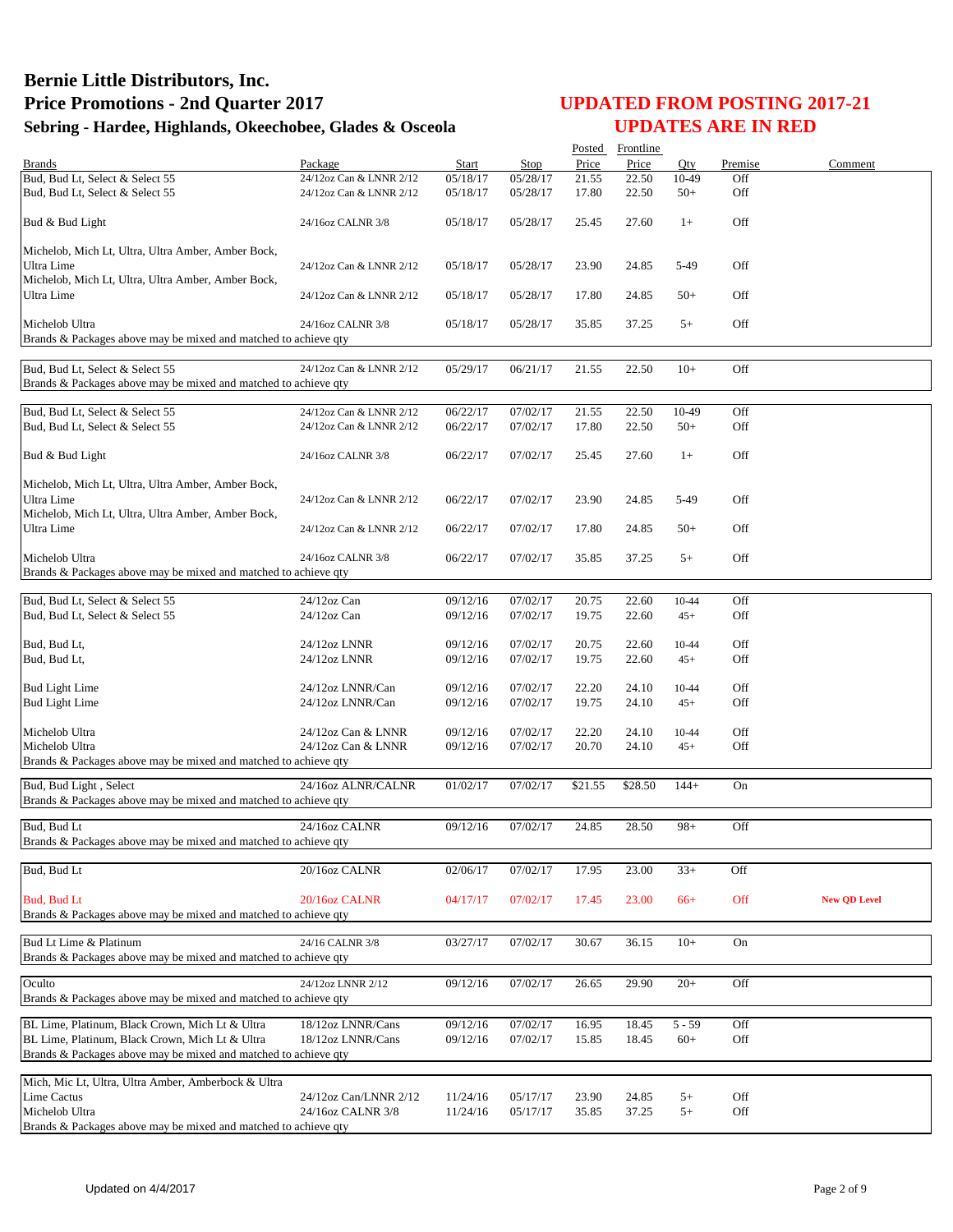|                                                                                                    |                         |                      |          |         | Posted Frontline |                |         |                     |
|----------------------------------------------------------------------------------------------------|-------------------------|----------------------|----------|---------|------------------|----------------|---------|---------------------|
| <b>Brands</b>                                                                                      | Package                 | Start                | Stop     | Price   | Price            | Otv            | Premise | Comment             |
| Bud, Bud Lt, Select & Select 55                                                                    | 24/12oz Can & LNNR 2/12 | 05/18/17             | 05/28/17 | 21.55   | 22.50            | 10-49          | Off     |                     |
| Bud, Bud Lt, Select & Select 55                                                                    | 24/12oz Can & LNNR 2/12 | 05/18/17             | 05/28/17 | 17.80   | 22.50            | $50+$          | Off     |                     |
| Bud & Bud Light                                                                                    | 24/16oz CALNR 3/8       | 05/18/17             | 05/28/17 | 25.45   | 27.60            | $1+$           | Off     |                     |
| Michelob, Mich Lt, Ultra, Ultra Amber, Amber Bock,                                                 |                         |                      |          |         |                  |                |         |                     |
| Ultra Lime                                                                                         | 24/12oz Can & LNNR 2/12 | 05/18/17             | 05/28/17 | 23.90   | 24.85            | 5-49           | Off     |                     |
| Michelob, Mich Lt, Ultra, Ultra Amber, Amber Bock,                                                 |                         |                      |          |         |                  |                |         |                     |
| Ultra Lime                                                                                         | 24/12oz Can & LNNR 2/12 | 05/18/17             | 05/28/17 | 17.80   | 24.85            | $50+$          | Off     |                     |
|                                                                                                    |                         |                      |          |         |                  |                |         |                     |
| Michelob Ultra<br>Brands & Packages above may be mixed and matched to achieve gty                  | 24/16oz CALNR 3/8       | 05/18/17             | 05/28/17 | 35.85   | 37.25            | $5+$           | Off     |                     |
|                                                                                                    |                         |                      |          |         |                  |                |         |                     |
| Bud, Bud Lt, Select & Select 55<br>Brands & Packages above may be mixed and matched to achieve qty | 24/12oz Can & LNNR 2/12 | 05/29/17             | 06/21/17 | 21.55   | 22.50            | $10+$          | Off     |                     |
| Bud, Bud Lt, Select & Select 55                                                                    | 24/12oz Can & LNNR 2/12 | 06/22/17             | 07/02/17 | 21.55   | 22.50            | 10-49          | Off     |                     |
| Bud, Bud Lt, Select & Select 55                                                                    | 24/12oz Can & LNNR 2/12 | 06/22/17             | 07/02/17 | 17.80   | 22.50            | $50+$          | Off     |                     |
|                                                                                                    |                         |                      |          |         |                  |                |         |                     |
| Bud & Bud Light                                                                                    | 24/16oz CALNR 3/8       | 06/22/17             | 07/02/17 | 25.45   | 27.60            | $1+$           | Off     |                     |
|                                                                                                    |                         |                      |          |         |                  |                |         |                     |
| Michelob, Mich Lt, Ultra, Ultra Amber, Amber Bock,                                                 |                         |                      |          |         |                  |                |         |                     |
| Ultra Lime<br>Michelob, Mich Lt, Ultra, Ultra Amber, Amber Bock,                                   | 24/12oz Can & LNNR 2/12 | 06/22/17             | 07/02/17 | 23.90   | 24.85            | 5-49           | Off     |                     |
| Ultra Lime                                                                                         | 24/12oz Can & LNNR 2/12 | 06/22/17             | 07/02/17 | 17.80   | 24.85            | $50+$          | Off     |                     |
|                                                                                                    |                         |                      |          |         |                  |                |         |                     |
| Michelob Ultra<br>Brands & Packages above may be mixed and matched to achieve qty                  | 24/16oz CALNR 3/8       | 06/22/17             | 07/02/17 | 35.85   | 37.25            | $5+$           | Off     |                     |
|                                                                                                    |                         |                      |          |         |                  |                |         |                     |
| Bud, Bud Lt, Select & Select 55                                                                    | 24/12oz Can             | 09/12/16             | 07/02/17 | 20.75   | 22.60            | 10-44          | Off     |                     |
| Bud, Bud Lt, Select & Select 55                                                                    | $24/12$ oz Can          | 09/12/16             | 07/02/17 | 19.75   | 22.60            | $45+$          | Off     |                     |
|                                                                                                    |                         |                      |          |         |                  |                |         |                     |
| Bud, Bud Lt,                                                                                       | 24/12oz LNNR            | 09/12/16             | 07/02/17 | 20.75   | 22.60            | 10-44          | Off     |                     |
| Bud, Bud Lt,                                                                                       | 24/12oz LNNR            | 09/12/16             | 07/02/17 | 19.75   | 22.60            | $45+$          | Off     |                     |
|                                                                                                    | 24/12oz LNNR/Can        |                      | 07/02/17 | 22.20   | 24.10            |                | Off     |                     |
| <b>Bud Light Lime</b><br><b>Bud Light Lime</b>                                                     | 24/12oz LNNR/Can        | 09/12/16<br>09/12/16 | 07/02/17 | 19.75   | 24.10            | 10-44<br>$45+$ | Off     |                     |
|                                                                                                    |                         |                      |          |         |                  |                |         |                     |
| Michelob Ultra                                                                                     | 24/12oz Can & LNNR      | 09/12/16             | 07/02/17 | 22.20   | 24.10            | 10-44          | Off     |                     |
| Michelob Ultra                                                                                     | 24/12oz Can & LNNR      | 09/12/16             | 07/02/17 | 20.70   | 24.10            | $45+$          | Off     |                     |
| Brands & Packages above may be mixed and matched to achieve qty                                    |                         |                      |          |         |                  |                |         |                     |
| Bud, Bud Light, Select                                                                             | 24/16oz ALNR/CALNR      | 01/02/17             | 07/02/17 | \$21.55 | \$28.50          | $144+$         | On      |                     |
| Brands & Packages above may be mixed and matched to achieve qty                                    |                         |                      |          |         |                  |                |         |                     |
|                                                                                                    |                         |                      |          |         |                  |                |         |                     |
| Bud, Bud Lt                                                                                        | 24/16oz CALNR           | 09/12/16             | 07/02/17 | 24.85   | 28.50            | $98+$          | Off     |                     |
| Brands & Packages above may be mixed and matched to achieve qty                                    |                         |                      |          |         |                  |                |         |                     |
| Bud, Bud Lt                                                                                        | 20/16oz CALNR           | 02/06/17             | 07/02/17 | 17.95   | 23.00            | $33+$          | Off     |                     |
|                                                                                                    |                         |                      |          |         |                  |                |         |                     |
| Bud, Bud Lt                                                                                        | 20/16oz CALNR           | 04/17/17             | 07/02/17 | 17.45   | 23.00            | $66+$          | Off     | <b>New OD Level</b> |
| Brands & Packages above may be mixed and matched to achieve qty                                    |                         |                      |          |         |                  |                |         |                     |
|                                                                                                    |                         |                      |          |         |                  |                |         |                     |
| Bud Lt Lime & Platinum                                                                             | 24/16 CALNR 3/8         | 03/27/17             | 07/02/17 | 30.67   | 36.15            | $10+$          | On      |                     |
| Brands & Packages above may be mixed and matched to achieve qty                                    |                         |                      |          |         |                  |                |         |                     |
| Oculto                                                                                             | 24/12oz LNNR 2/12       | 09/12/16             | 07/02/17 | 26.65   | 29.90            | $20+$          | Off     |                     |
| Brands & Packages above may be mixed and matched to achieve qty                                    |                         |                      |          |         |                  |                |         |                     |
|                                                                                                    |                         |                      |          |         |                  |                |         |                     |
| BL Lime, Platinum, Black Crown, Mich Lt & Ultra                                                    | 18/12oz LNNR/Cans       | 09/12/16             | 07/02/17 | 16.95   | 18.45            | $5 - 59$       | Off     |                     |
| BL Lime, Platinum, Black Crown, Mich Lt & Ultra                                                    | 18/12oz LNNR/Cans       | 09/12/16             | 07/02/17 | 15.85   | 18.45            | $60+$          | Off     |                     |
| Brands & Packages above may be mixed and matched to achieve qty                                    |                         |                      |          |         |                  |                |         |                     |
| Mich, Mic Lt, Ultra, Ultra Amber, Amberbock & Ultra                                                |                         |                      |          |         |                  |                |         |                     |
| Lime Cactus                                                                                        | 24/12oz Can/LNNR 2/12   | 11/24/16             | 05/17/17 | 23.90   | 24.85            | $5+$           | Off     |                     |
| Michelob Ultra                                                                                     | 24/16oz CALNR 3/8       | 11/24/16             | 05/17/17 | 35.85   | 37.25            | $5+$           | Off     |                     |
| Brands & Packages above may be mixed and matched to achieve qty                                    |                         |                      |          |         |                  |                |         |                     |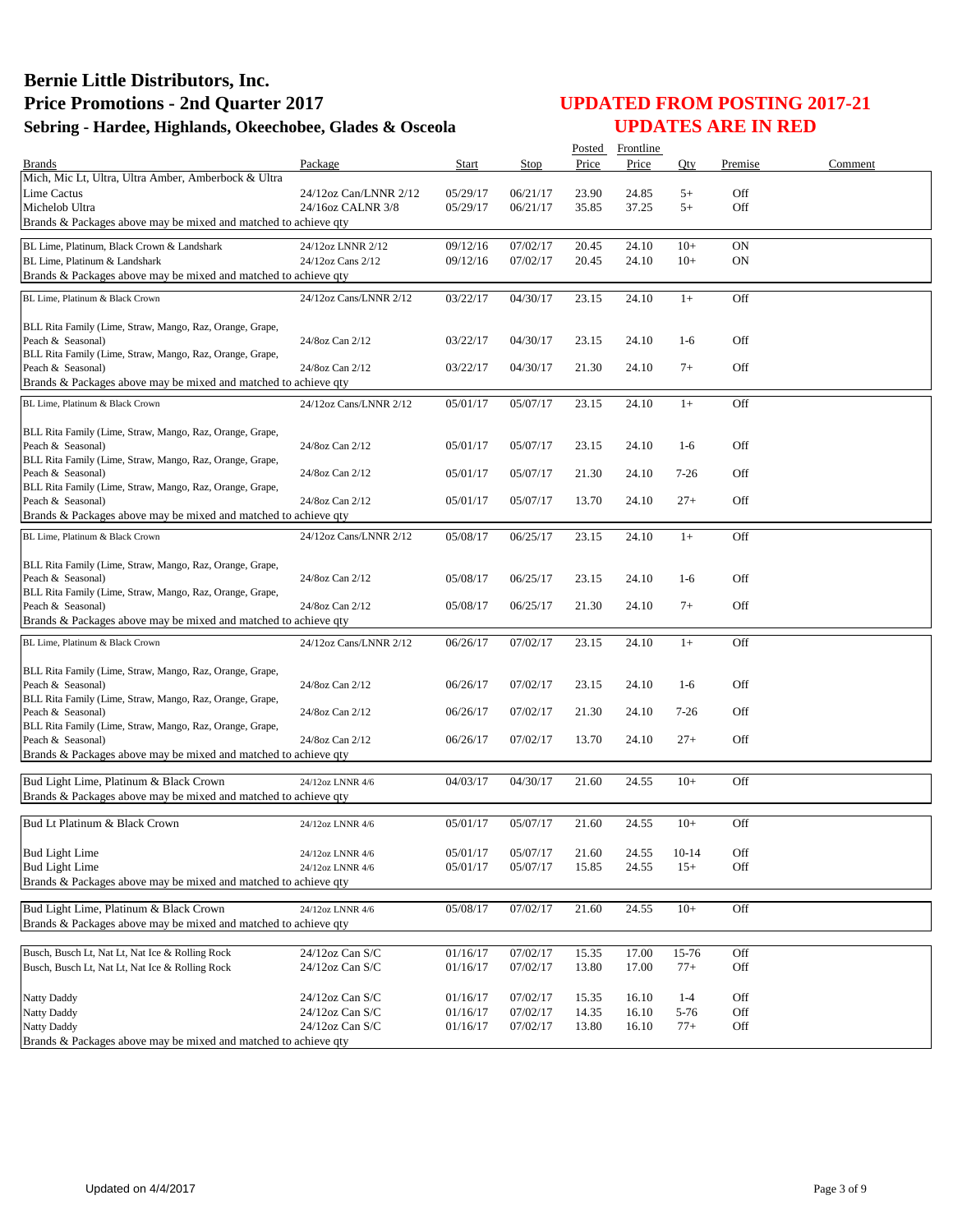|                                                                                                  |                                    |                      |                      | Posted         | Frontline      |                 |            |         |
|--------------------------------------------------------------------------------------------------|------------------------------------|----------------------|----------------------|----------------|----------------|-----------------|------------|---------|
| <b>Brands</b>                                                                                    | Package                            | <b>Start</b>         | Stop                 | Price          | Price          | Oty             | Premise    | Comment |
| Mich, Mic Lt, Ultra, Ultra Amber, Amberbock & Ultra                                              |                                    |                      |                      |                |                |                 |            |         |
| Lime Cactus                                                                                      | 24/12oz Can/LNNR 2/12              | 05/29/17             | 06/21/17             | 23.90          | 24.85          | $5+$            | Off        |         |
| Michelob Ultra<br>Brands & Packages above may be mixed and matched to achieve qty                | 24/16oz CALNR 3/8                  | 05/29/17             | 06/21/17             | 35.85          | 37.25          | $5+$            | Off        |         |
|                                                                                                  |                                    |                      |                      |                |                |                 |            |         |
| BL Lime, Platinum, Black Crown & Landshark                                                       | 24/12oz LNNR 2/12                  | 09/12/16             | 07/02/17             | 20.45          | 24.10          | $10+$           | <b>ON</b>  |         |
| BL Lime, Platinum & Landshark<br>Brands & Packages above may be mixed and matched to achieve qty | 24/12oz Cans 2/12                  | 09/12/16             | 07/02/17             | 20.45          | 24.10          | $10+$           | <b>ON</b>  |         |
|                                                                                                  |                                    |                      |                      |                |                |                 |            |         |
| BL Lime, Platinum & Black Crown                                                                  | 24/12oz Cans/LNNR 2/12             | 03/22/17             | 04/30/17             | 23.15          | 24.10          | $1+$            | Off        |         |
|                                                                                                  |                                    |                      |                      |                |                |                 |            |         |
| BLL Rita Family (Lime, Straw, Mango, Raz, Orange, Grape,<br>Peach & Seasonal)                    | 24/8oz Can 2/12                    | 03/22/17             | 04/30/17             | 23.15          | 24.10          | $1-6$           | Off        |         |
| BLL Rita Family (Lime, Straw, Mango, Raz, Orange, Grape,                                         |                                    |                      |                      |                |                |                 |            |         |
| Peach & Seasonal)                                                                                | 24/8oz Can 2/12                    | 03/22/17             | 04/30/17             | 21.30          | 24.10          | $7+$            | Off        |         |
| Brands & Packages above may be mixed and matched to achieve qty                                  |                                    |                      |                      |                |                |                 |            |         |
| BL Lime, Platinum & Black Crown                                                                  | 24/12oz Cans/LNNR 2/12             | 05/01/17             | 05/07/17             | 23.15          | 24.10          | $1+$            | Off        |         |
|                                                                                                  |                                    |                      |                      |                |                |                 |            |         |
| BLL Rita Family (Lime, Straw, Mango, Raz, Orange, Grape,<br>Peach & Seasonal)                    | 24/8oz Can 2/12                    | 05/01/17             | 05/07/17             | 23.15          | 24.10          | $1-6$           | Off        |         |
| BLL Rita Family (Lime, Straw, Mango, Raz, Orange, Grape,                                         |                                    |                      |                      |                |                |                 |            |         |
| Peach & Seasonal)                                                                                | 24/8oz Can 2/12                    | 05/01/17             | 05/07/17             | 21.30          | 24.10          | 7-26            | Off        |         |
| BLL Rita Family (Lime, Straw, Mango, Raz, Orange, Grape,                                         |                                    |                      |                      |                |                |                 |            |         |
| Peach & Seasonal)                                                                                | 24/8oz Can 2/12                    | 05/01/17             | 05/07/17             | 13.70          | 24.10          | $27+$           | Off        |         |
| Brands & Packages above may be mixed and matched to achieve qty                                  |                                    |                      |                      |                |                |                 |            |         |
| BL Lime, Platinum & Black Crown                                                                  | 24/12oz Cans/LNNR 2/12             | 05/08/17             | 06/25/17             | 23.15          | 24.10          | $1+$            | Off        |         |
| BLL Rita Family (Lime, Straw, Mango, Raz, Orange, Grape,                                         |                                    |                      |                      |                |                |                 |            |         |
| Peach & Seasonal)                                                                                | 24/8oz Can 2/12                    | 05/08/17             | 06/25/17             | 23.15          | 24.10          | $1-6$           | Off        |         |
| BLL Rita Family (Lime, Straw, Mango, Raz, Orange, Grape,                                         |                                    |                      |                      |                |                |                 |            |         |
| Peach & Seasonal)                                                                                | 24/8oz Can 2/12                    | 05/08/17             | 06/25/17             | 21.30          | 24.10          | $7+$            | Off        |         |
| Brands & Packages above may be mixed and matched to achieve qty                                  |                                    |                      |                      |                |                |                 |            |         |
| BL Lime, Platinum & Black Crown                                                                  | 24/12oz Cans/LNNR 2/12             | 06/26/17             | 07/02/17             | 23.15          | 24.10          | $1+$            | Off        |         |
|                                                                                                  |                                    |                      |                      |                |                |                 |            |         |
| BLL Rita Family (Lime, Straw, Mango, Raz, Orange, Grape,<br>Peach & Seasonal)                    | 24/8oz Can 2/12                    | 06/26/17             | 07/02/17             | 23.15          | 24.10          | $1-6$           | Off        |         |
| BLL Rita Family (Lime, Straw, Mango, Raz, Orange, Grape,                                         |                                    |                      |                      |                |                |                 |            |         |
| Peach & Seasonal)                                                                                | 24/8oz Can 2/12                    | 06/26/17             | 07/02/17             | 21.30          | 24.10          | 7-26            | Off        |         |
| BLL Rita Family (Lime, Straw, Mango, Raz, Orange, Grape,                                         |                                    |                      |                      |                |                |                 |            |         |
| Peach & Seasonal)                                                                                | 24/8oz Can 2/12                    | 06/26/17             | 07/02/17             | 13.70          | 24.10          | $27+$           | Off        |         |
| Brands & Packages above may be mixed and matched to achieve qty                                  |                                    |                      |                      |                |                |                 |            |         |
| Bud Light Lime, Platinum & Black Crown                                                           | 24/12oz LNNR 4/6                   | 04/03/17             | 04/30/17             | 21.60          | 24.55          | $10+$           | Off        |         |
| Brands & Packages above may be mixed and matched to achieve qty                                  |                                    |                      |                      |                |                |                 |            |         |
| Bud Lt Platinum & Black Crown                                                                    | 24/12oz LNNR 4/6                   | 05/01/17             | 05/07/17             | 21.60          | 24.55          | $10+$           | Off        |         |
|                                                                                                  |                                    |                      |                      |                |                |                 |            |         |
| <b>Bud Light Lime</b>                                                                            | 24/12oz LNNR 4/6                   | 05/01/17             | 05/07/17             | 21.60          | 24.55          | $10 - 14$       | Off        |         |
| <b>Bud Light Lime</b>                                                                            | 24/12oz LNNR 4/6                   | 05/01/17             | 05/07/17             | 15.85          | 24.55          | $15+$           | Off        |         |
| Brands & Packages above may be mixed and matched to achieve qty                                  |                                    |                      |                      |                |                |                 |            |         |
| Bud Light Lime, Platinum & Black Crown                                                           | 24/12oz LNNR 4/6                   | 05/08/17             | 07/02/17             | 21.60          | 24.55          | $10+$           | Off        |         |
| Brands & Packages above may be mixed and matched to achieve qty                                  |                                    |                      |                      |                |                |                 |            |         |
|                                                                                                  |                                    |                      |                      |                |                |                 |            |         |
| Busch, Busch Lt, Nat Lt, Nat Ice & Rolling Rock                                                  | $24/12$ oz Can S/C                 | 01/16/17             | 07/02/17             | 15.35          | 17.00          | 15-76           | Off        |         |
| Busch, Busch Lt, Nat Lt, Nat Ice & Rolling Rock                                                  | 24/12oz Can S/C                    | 01/16/17             | 07/02/17             | 13.80          | 17.00          | $77+$           | Off        |         |
|                                                                                                  |                                    |                      |                      |                |                |                 |            |         |
| Natty Daddy<br>Natty Daddy                                                                       | 24/12oz Can S/C<br>24/12oz Can S/C | 01/16/17<br>01/16/17 | 07/02/17             | 15.35<br>14.35 | 16.10<br>16.10 | $1 - 4$<br>5-76 | Off<br>Off |         |
| Natty Daddy                                                                                      | 24/12oz Can S/C                    | 01/16/17             | 07/02/17<br>07/02/17 | 13.80          | 16.10          | $77+$           | Off        |         |
| Brands & Packages above may be mixed and matched to achieve qty                                  |                                    |                      |                      |                |                |                 |            |         |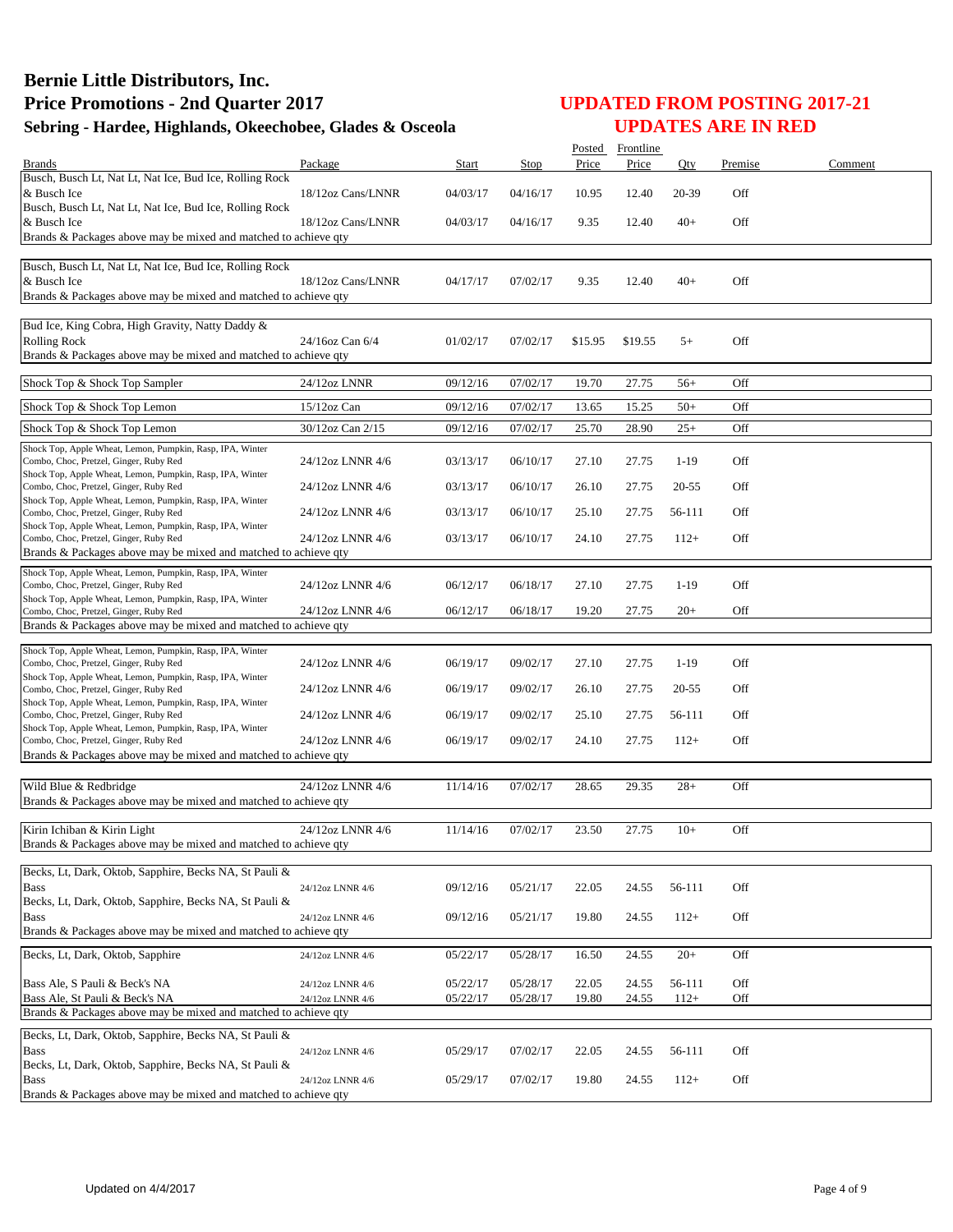|                                                                                                                                                                  |                   |          |          | Posted  | Frontline |           |         |         |
|------------------------------------------------------------------------------------------------------------------------------------------------------------------|-------------------|----------|----------|---------|-----------|-----------|---------|---------|
| <b>Brands</b>                                                                                                                                                    | Package           | Start    | Stop     | Price   | Price     | Qty       | Premise | Comment |
| Busch, Busch Lt, Nat Lt, Nat Ice, Bud Ice, Rolling Rock<br>& Busch Ice<br>Busch, Busch Lt, Nat Lt, Nat Ice, Bud Ice, Rolling Rock                                | 18/12oz Cans/LNNR | 04/03/17 | 04/16/17 | 10.95   | 12.40     | 20-39     | Off     |         |
| & Busch Ice<br>Brands & Packages above may be mixed and matched to achieve qty                                                                                   | 18/12oz Cans/LNNR | 04/03/17 | 04/16/17 | 9.35    | 12.40     | $40+$     | Off     |         |
| Busch, Busch Lt, Nat Lt, Nat Ice, Bud Ice, Rolling Rock<br>& Busch Ice<br>Brands & Packages above may be mixed and matched to achieve qty                        | 18/12oz Cans/LNNR | 04/17/17 | 07/02/17 | 9.35    | 12.40     | $40+$     | Off     |         |
| Bud Ice, King Cobra, High Gravity, Natty Daddy &<br><b>Rolling Rock</b><br>Brands & Packages above may be mixed and matched to achieve qty                       | 24/16oz Can 6/4   | 01/02/17 | 07/02/17 | \$15.95 | \$19.55   | $5+$      | Off     |         |
| Shock Top & Shock Top Sampler                                                                                                                                    | 24/12oz LNNR      | 09/12/16 | 07/02/17 | 19.70   | 27.75     | $56+$     | Off     |         |
| Shock Top & Shock Top Lemon                                                                                                                                      | 15/12oz Can       | 09/12/16 | 07/02/17 | 13.65   | 15.25     | $50+$     | Off     |         |
| Shock Top & Shock Top Lemon                                                                                                                                      | 30/12oz Can 2/15  | 09/12/16 | 07/02/17 | 25.70   | 28.90     | $25+$     | Off     |         |
| Shock Top, Apple Wheat, Lemon, Pumpkin, Rasp, IPA, Winter<br>Combo, Choc, Pretzel, Ginger, Ruby Red<br>Shock Top, Apple Wheat, Lemon, Pumpkin, Rasp, IPA, Winter | 24/12oz LNNR 4/6  | 03/13/17 | 06/10/17 | 27.10   | 27.75     | $1-19$    | Off     |         |
| Combo, Choc, Pretzel, Ginger, Ruby Red<br>Shock Top, Apple Wheat, Lemon, Pumpkin, Rasp, IPA, Winter                                                              | 24/12oz LNNR 4/6  | 03/13/17 | 06/10/17 | 26.10   | 27.75     | 20-55     | Off     |         |
| Combo, Choc, Pretzel, Ginger, Ruby Red<br>Shock Top, Apple Wheat, Lemon, Pumpkin, Rasp, IPA, Winter                                                              | 24/12oz LNNR 4/6  | 03/13/17 | 06/10/17 | 25.10   | 27.75     | 56-111    | Off     |         |
| Combo, Choc, Pretzel, Ginger, Ruby Red<br>Brands & Packages above may be mixed and matched to achieve qty                                                        | 24/12oz LNNR 4/6  | 03/13/17 | 06/10/17 | 24.10   | 27.75     | $112+$    | Off     |         |
|                                                                                                                                                                  |                   |          |          |         |           |           |         |         |
| Shock Top, Apple Wheat, Lemon, Pumpkin, Rasp, IPA, Winter<br>Combo, Choc, Pretzel, Ginger, Ruby Red                                                              | 24/12oz LNNR 4/6  | 06/12/17 | 06/18/17 | 27.10   | 27.75     | $1-19$    | Off     |         |
| Shock Top, Apple Wheat, Lemon, Pumpkin, Rasp, IPA, Winter<br>Combo, Choc, Pretzel, Ginger, Ruby Red                                                              | 24/12oz LNNR 4/6  | 06/12/17 | 06/18/17 | 19.20   | 27.75     | $20+$     | Off     |         |
| Brands & Packages above may be mixed and matched to achieve qty                                                                                                  |                   |          |          |         |           |           |         |         |
| Shock Top, Apple Wheat, Lemon, Pumpkin, Rasp, IPA, Winter<br>Combo, Choc, Pretzel, Ginger, Ruby Red                                                              | 24/12oz LNNR 4/6  | 06/19/17 | 09/02/17 | 27.10   | 27.75     | $1-19$    | Off     |         |
| Shock Top, Apple Wheat, Lemon, Pumpkin, Rasp, IPA, Winter<br>Combo, Choc, Pretzel, Ginger, Ruby Red                                                              | 24/12oz LNNR 4/6  | 06/19/17 | 09/02/17 | 26.10   | 27.75     | $20 - 55$ | Off     |         |
| Shock Top, Apple Wheat, Lemon, Pumpkin, Rasp, IPA, Winter<br>Combo, Choc, Pretzel, Ginger, Ruby Red                                                              | 24/12oz LNNR 4/6  | 06/19/17 | 09/02/17 | 25.10   | 27.75     | 56-111    | Off     |         |
| Shock Top, Apple Wheat, Lemon, Pumpkin, Rasp, IPA, Winter<br>Combo, Choc, Pretzel, Ginger, Ruby Red                                                              | 24/12oz LNNR 4/6  | 06/19/17 | 09/02/17 | 24.10   | 27.75     | $112+$    | Off     |         |
| Brands & Packages above may be mixed and matched to achieve qty                                                                                                  |                   |          |          |         |           |           |         |         |
| Wild Blue & Redbridge<br>Brands & Packages above may be mixed and matched to achieve qty                                                                         | 24/12oz LNNR 4/6  | 11/14/16 | 07/02/17 | 28.65   | 29.35     | $28+$     | Off     |         |
| Kirin Ichiban & Kirin Light<br>Brands & Packages above may be mixed and matched to achieve qty                                                                   | 24/12oz LNNR 4/6  | 11/14/16 | 07/02/17 | 23.50   | 27.75     | $10+$     | Off     |         |
| Becks, Lt, Dark, Oktob, Sapphire, Becks NA, St Pauli &                                                                                                           |                   |          |          |         |           |           |         |         |
| Bass                                                                                                                                                             | 24/12oz LNNR 4/6  | 09/12/16 | 05/21/17 | 22.05   | 24.55     | 56-111    | Off     |         |
| Becks, Lt, Dark, Oktob, Sapphire, Becks NA, St Pauli &<br><b>Bass</b>                                                                                            | 24/12oz LNNR 4/6  | 09/12/16 | 05/21/17 | 19.80   | 24.55     | $112+$    | Off     |         |
| Brands & Packages above may be mixed and matched to achieve qty                                                                                                  |                   |          |          |         |           |           |         |         |
| Becks, Lt, Dark, Oktob, Sapphire                                                                                                                                 | 24/12oz LNNR 4/6  | 05/22/17 | 05/28/17 | 16.50   | 24.55     | $20+$     | Off     |         |
| Bass Ale, S Pauli & Beck's NA                                                                                                                                    | 24/12oz LNNR 4/6  | 05/22/17 | 05/28/17 | 22.05   | 24.55     | 56-111    | Off     |         |
| Bass Ale, St Pauli & Beck's NA<br>Brands & Packages above may be mixed and matched to achieve qty                                                                | 24/12oz LNNR 4/6  | 05/22/17 | 05/28/17 | 19.80   | 24.55     | $112+$    | Off     |         |
| Becks, Lt, Dark, Oktob, Sapphire, Becks NA, St Pauli &                                                                                                           |                   |          |          |         |           |           |         |         |
| <b>Bass</b>                                                                                                                                                      | 24/12oz LNNR 4/6  | 05/29/17 | 07/02/17 | 22.05   | 24.55     | 56-111    | Off     |         |
| Becks, Lt, Dark, Oktob, Sapphire, Becks NA, St Pauli &<br><b>Bass</b><br>Brands & Packages above may be mixed and matched to achieve qty                         | 24/12oz LNNR 4/6  | 05/29/17 | 07/02/17 | 19.80   | 24.55     | $112+$    | Off     |         |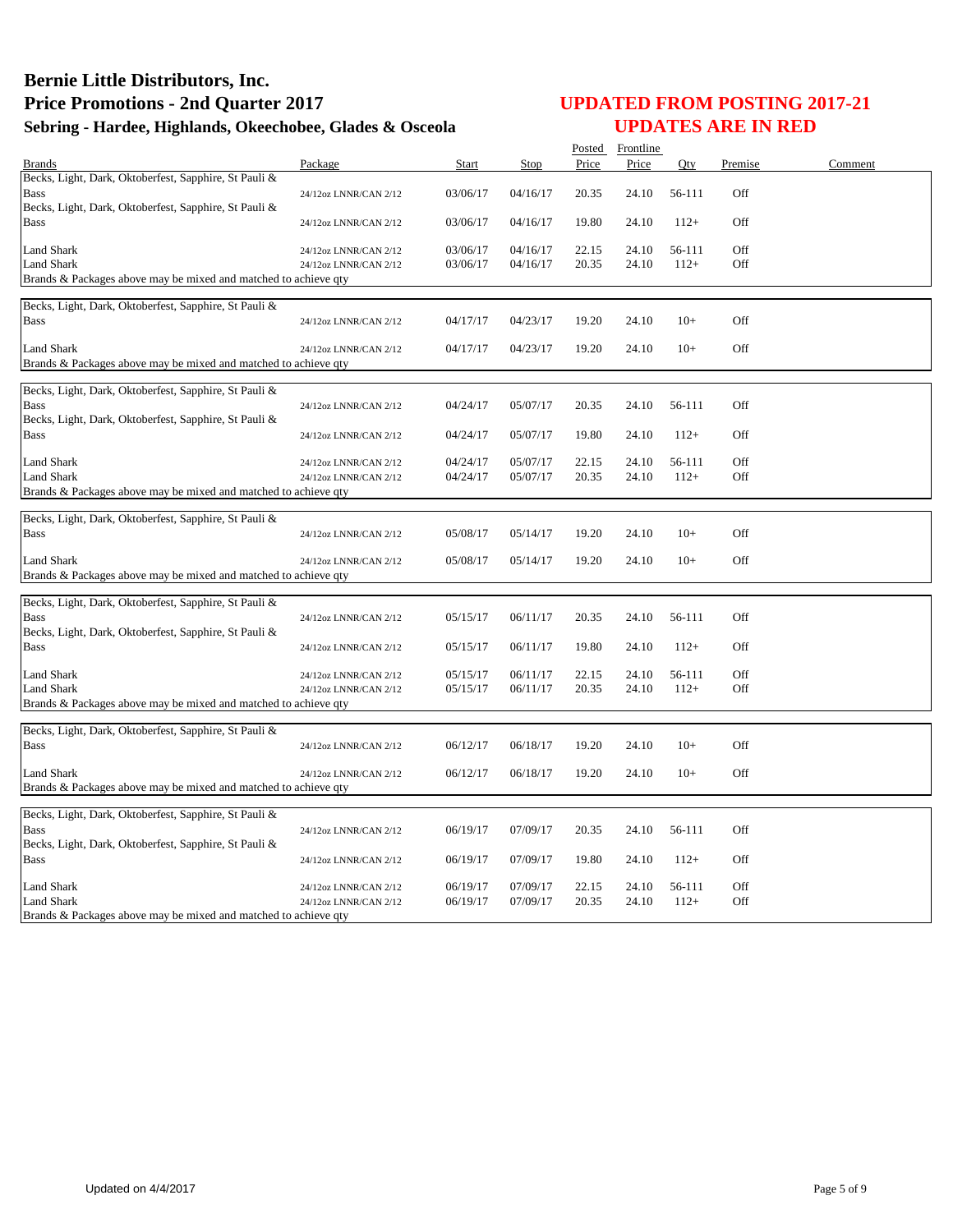|                                                                                                                               |                                                |                      |                      |                | Posted Frontline |                  |            |         |
|-------------------------------------------------------------------------------------------------------------------------------|------------------------------------------------|----------------------|----------------------|----------------|------------------|------------------|------------|---------|
| <b>Brands</b>                                                                                                                 | Package                                        | Start                | Stop                 | Price          | Price            | Qty              | Premise    | Comment |
| Becks, Light, Dark, Oktoberfest, Sapphire, St Pauli &<br><b>Bass</b><br>Becks, Light, Dark, Oktoberfest, Sapphire, St Pauli & | 24/12oz LNNR/CAN 2/12                          | 03/06/17             | 04/16/17             | 20.35          | 24.10            | 56-111           | Off        |         |
| <b>Bass</b>                                                                                                                   | 24/12oz LNNR/CAN 2/12                          | 03/06/17             | 04/16/17             | 19.80          | 24.10            | $112+$           | Off        |         |
| <b>Land Shark</b><br>Land Shark<br>Brands & Packages above may be mixed and matched to achieve qty                            | 24/12oz LNNR/CAN 2/12<br>24/12oz LNNR/CAN 2/12 | 03/06/17<br>03/06/17 | 04/16/17<br>04/16/17 | 22.15<br>20.35 | 24.10<br>24.10   | 56-111<br>$112+$ | Off<br>Off |         |
| Becks, Light, Dark, Oktoberfest, Sapphire, St Pauli &<br><b>Bass</b>                                                          | 24/12oz LNNR/CAN 2/12                          | 04/17/17             | 04/23/17             | 19.20          | 24.10            | $10+$            | Off        |         |
| Land Shark<br>Brands & Packages above may be mixed and matched to achieve qty                                                 | 24/12oz LNNR/CAN 2/12                          | 04/17/17             | 04/23/17             | 19.20          | 24.10            | $10+$            | Off        |         |
| Becks, Light, Dark, Oktoberfest, Sapphire, St Pauli &<br><b>Bass</b><br>Becks, Light, Dark, Oktoberfest, Sapphire, St Pauli & | 24/12oz LNNR/CAN 2/12                          | 04/24/17             | 05/07/17             | 20.35          | 24.10            | 56-111           | Off        |         |
| <b>Bass</b>                                                                                                                   | 24/12oz LNNR/CAN 2/12                          | 04/24/17             | 05/07/17             | 19.80          | 24.10            | $112+$           | Off        |         |
| Land Shark<br><b>Land Shark</b><br>Brands & Packages above may be mixed and matched to achieve qty                            | 24/12oz LNNR/CAN 2/12<br>24/12oz LNNR/CAN 2/12 | 04/24/17<br>04/24/17 | 05/07/17<br>05/07/17 | 22.15<br>20.35 | 24.10<br>24.10   | 56-111<br>$112+$ | Off<br>Off |         |
| Becks, Light, Dark, Oktoberfest, Sapphire, St Pauli &<br><b>Bass</b>                                                          | 24/12oz LNNR/CAN 2/12                          | 05/08/17             | 05/14/17             | 19.20          | 24.10            | $10+$            | Off        |         |
| Land Shark<br>Brands & Packages above may be mixed and matched to achieve qty                                                 | 24/12oz LNNR/CAN 2/12                          | 05/08/17             | 05/14/17             | 19.20          | 24.10            | $10+$            | Off        |         |
| Becks, Light, Dark, Oktoberfest, Sapphire, St Pauli &<br><b>Bass</b><br>Becks, Light, Dark, Oktoberfest, Sapphire, St Pauli & | 24/12oz LNNR/CAN 2/12                          | 05/15/17             | 06/11/17             | 20.35          | 24.10            | 56-111           | Off        |         |
| <b>Bass</b>                                                                                                                   | 24/12oz LNNR/CAN 2/12                          | 05/15/17             | 06/11/17             | 19.80          | 24.10            | $112+$           | Off        |         |
| <b>Land Shark</b><br><b>Land Shark</b><br>Brands & Packages above may be mixed and matched to achieve qty                     | 24/12oz LNNR/CAN 2/12<br>24/12oz LNNR/CAN 2/12 | 05/15/17<br>05/15/17 | 06/11/17<br>06/11/17 | 22.15<br>20.35 | 24.10<br>24.10   | 56-111<br>$112+$ | Off<br>Off |         |
| Becks, Light, Dark, Oktoberfest, Sapphire, St Pauli &                                                                         |                                                |                      |                      |                |                  |                  |            |         |
| <b>Bass</b>                                                                                                                   | 24/12oz LNNR/CAN 2/12                          | 06/12/17             | 06/18/17             | 19.20          | 24.10            | $10+$            | Off        |         |
| <b>Land Shark</b><br>Brands & Packages above may be mixed and matched to achieve qty                                          | 24/12oz LNNR/CAN 2/12                          | 06/12/17             | 06/18/17             | 19.20          | 24.10            | $10+$            | Off        |         |
| Becks, Light, Dark, Oktoberfest, Sapphire, St Pauli &<br><b>Bass</b><br>Becks, Light, Dark, Oktoberfest, Sapphire, St Pauli & | 24/12oz LNNR/CAN 2/12                          | 06/19/17             | 07/09/17             | 20.35          | 24.10            | 56-111           | Off        |         |
| <b>Bass</b>                                                                                                                   | 24/12oz LNNR/CAN 2/12                          | 06/19/17             | 07/09/17             | 19.80          | 24.10            | $112+$           | Off        |         |
| Land Shark<br><b>Land Shark</b><br>Brands & Packages above may be mixed and matched to achieve qty                            | 24/12oz LNNR/CAN 2/12<br>24/12oz LNNR/CAN 2/12 | 06/19/17<br>06/19/17 | 07/09/17<br>07/09/17 | 22.15<br>20.35 | 24.10<br>24.10   | 56-111<br>$112+$ | Off<br>Off |         |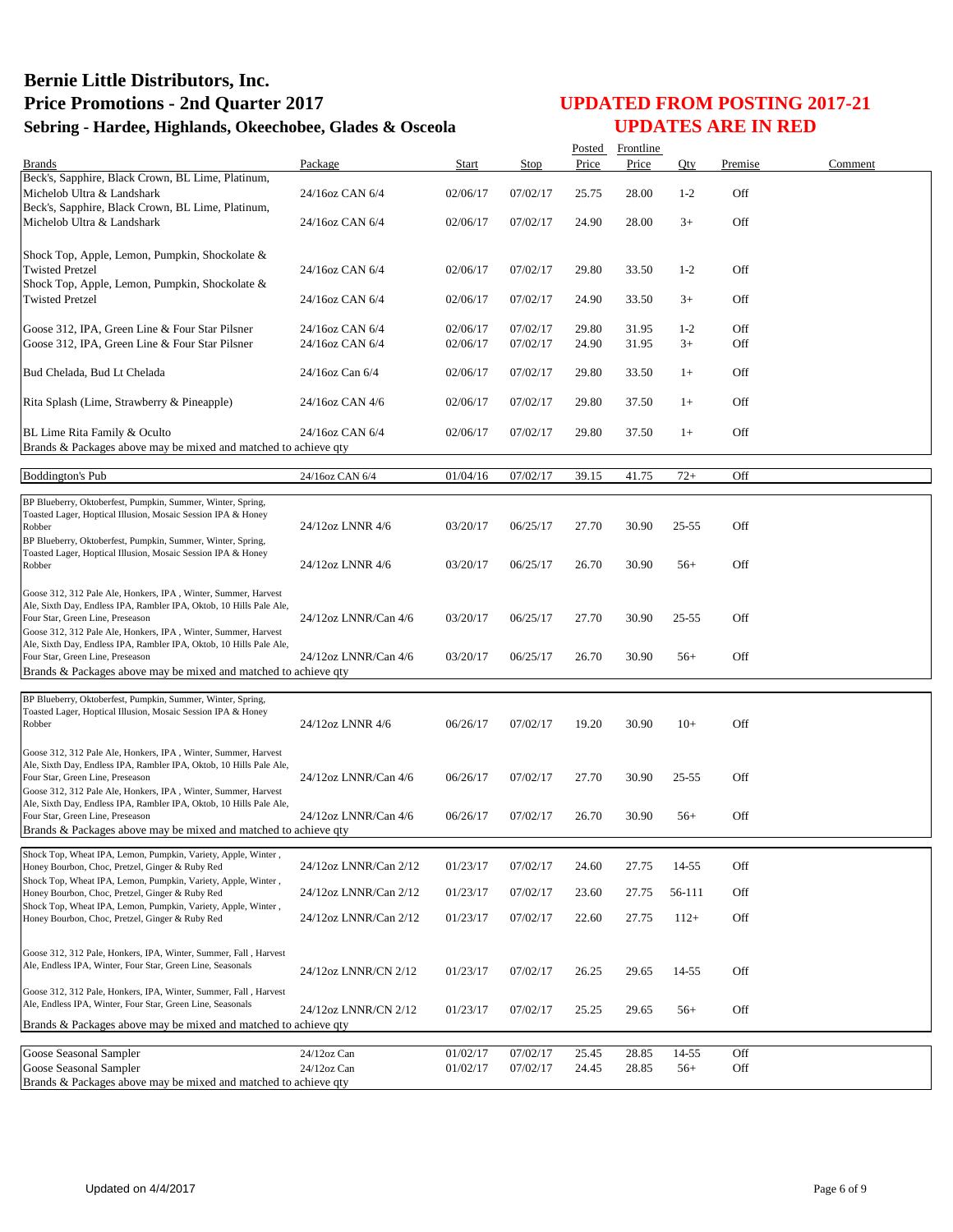|                                                                                                                                       |                       |          |             | Posted | Frontline |           |         |         |
|---------------------------------------------------------------------------------------------------------------------------------------|-----------------------|----------|-------------|--------|-----------|-----------|---------|---------|
| <b>Brands</b>                                                                                                                         | Package               | Start    | <b>Stop</b> | Price  | Price     | Qty       | Premise | Comment |
| Beck's, Sapphire, Black Crown, BL Lime, Platinum,<br>Michelob Ultra & Landshark                                                       | 24/16oz CAN 6/4       | 02/06/17 | 07/02/17    | 25.75  | 28.00     | $1-2$     | Off     |         |
| Beck's, Sapphire, Black Crown, BL Lime, Platinum,<br>Michelob Ultra & Landshark                                                       | 24/16oz CAN 6/4       | 02/06/17 | 07/02/17    | 24.90  | 28.00     | $3+$      | Off     |         |
|                                                                                                                                       |                       |          |             |        |           |           |         |         |
| Shock Top, Apple, Lemon, Pumpkin, Shockolate &<br><b>Twisted Pretzel</b>                                                              | 24/16oz CAN 6/4       | 02/06/17 | 07/02/17    | 29.80  | 33.50     | $1-2$     | Off     |         |
| Shock Top, Apple, Lemon, Pumpkin, Shockolate &<br><b>Twisted Pretzel</b>                                                              | 24/16oz CAN 6/4       | 02/06/17 | 07/02/17    | 24.90  | 33.50     | $3+$      | Off     |         |
| Goose 312, IPA, Green Line & Four Star Pilsner                                                                                        | 24/16oz CAN 6/4       | 02/06/17 | 07/02/17    | 29.80  | 31.95     | $1 - 2$   | Off     |         |
| Goose 312, IPA, Green Line & Four Star Pilsner                                                                                        | 24/16oz CAN 6/4       | 02/06/17 | 07/02/17    | 24.90  | 31.95     | $3+$      | Off     |         |
| Bud Chelada, Bud Lt Chelada                                                                                                           | 24/16oz Can 6/4       | 02/06/17 | 07/02/17    | 29.80  | 33.50     | $1+$      | Off     |         |
| Rita Splash (Lime, Strawberry & Pineapple)                                                                                            | 24/16oz CAN 4/6       | 02/06/17 | 07/02/17    | 29.80  | 37.50     | $1+$      | Off     |         |
| BL Lime Rita Family & Oculto<br>Brands & Packages above may be mixed and matched to achieve qty                                       | 24/16oz CAN 6/4       | 02/06/17 | 07/02/17    | 29.80  | 37.50     | $1+$      | Off     |         |
|                                                                                                                                       |                       |          |             |        |           |           |         |         |
| <b>Boddington's Pub</b>                                                                                                               | 24/16oz CAN 6/4       | 01/04/16 | 07/02/17    | 39.15  | 41.75     | $72+$     | Off     |         |
| BP Blueberry, Oktoberfest, Pumpkin, Summer, Winter, Spring,                                                                           |                       |          |             |        |           |           |         |         |
| Toasted Lager, Hoptical Illusion, Mosaic Session IPA & Honey<br>Robber                                                                | 24/12oz LNNR 4/6      | 03/20/17 | 06/25/17    | 27.70  | 30.90     | $25 - 55$ | Off     |         |
| BP Blueberry, Oktoberfest, Pumpkin, Summer, Winter, Spring,                                                                           |                       |          |             |        |           |           |         |         |
| Toasted Lager, Hoptical Illusion, Mosaic Session IPA & Honey<br>Robber                                                                | 24/12oz LNNR 4/6      | 03/20/17 | 06/25/17    | 26.70  | 30.90     | $56+$     | Off     |         |
| Goose 312, 312 Pale Ale, Honkers, IPA, Winter, Summer, Harvest                                                                        |                       |          |             |        |           |           |         |         |
| Ale, Sixth Day, Endless IPA, Rambler IPA, Oktob, 10 Hills Pale Ale,<br>Four Star, Green Line, Preseason                               | 24/12oz LNNR/Can 4/6  | 03/20/17 | 06/25/17    | 27.70  | 30.90     | 25-55     | Off     |         |
| Goose 312, 312 Pale Ale, Honkers, IPA, Winter, Summer, Harvest                                                                        |                       |          |             |        |           |           |         |         |
| Ale, Sixth Day, Endless IPA, Rambler IPA, Oktob, 10 Hills Pale Ale,<br>Four Star, Green Line, Preseason                               | 24/12oz LNNR/Can 4/6  | 03/20/17 | 06/25/17    | 26.70  | 30.90     | $56+$     | Off     |         |
| Brands & Packages above may be mixed and matched to achieve qty                                                                       |                       |          |             |        |           |           |         |         |
| BP Blueberry, Oktoberfest, Pumpkin, Summer, Winter, Spring,                                                                           |                       |          |             |        |           |           |         |         |
| Toasted Lager, Hoptical Illusion, Mosaic Session IPA & Honey                                                                          |                       |          |             |        |           |           |         |         |
| Robber                                                                                                                                | 24/12oz LNNR 4/6      | 06/26/17 | 07/02/17    | 19.20  | 30.90     | $10+$     | Off     |         |
| Goose 312, 312 Pale Ale, Honkers, IPA, Winter, Summer, Harvest                                                                        |                       |          |             |        |           |           |         |         |
| Ale, Sixth Day, Endless IPA, Rambler IPA, Oktob, 10 Hills Pale Ale,<br>Four Star, Green Line, Preseason                               | 24/12oz LNNR/Can 4/6  | 06/26/17 | 07/02/17    | 27.70  | 30.90     | 25-55     | Off     |         |
| Goose 312, 312 Pale Ale, Honkers, IPA, Winter, Summer, Harvest<br>Ale, Sixth Day, Endless IPA, Rambler IPA, Oktob, 10 Hills Pale Ale, |                       |          |             |        |           |           |         |         |
| Four Star, Green Line, Preseason                                                                                                      | 24/12oz LNNR/Can 4/6  | 06/26/17 | 07/02/17    | 26.70  | 30.90     | $56+$     | Off     |         |
| Brands & Packages above may be mixed and matched to achieve qty                                                                       |                       |          |             |        |           |           |         |         |
| Shock Top, Wheat IPA, Lemon, Pumpkin, Variety, Apple, Winter,<br>Honey Bourbon, Choc, Pretzel, Ginger & Ruby Red                      | 24/12oz LNNR/Can 2/12 | 01/23/17 | 07/02/17    | 24.60  | 27.75     | 14-55     | Off     |         |
| Shock Top, Wheat IPA, Lemon, Pumpkin, Variety, Apple, Winter,                                                                         |                       |          |             |        |           |           |         |         |
| Honey Bourbon, Choc, Pretzel, Ginger & Ruby Red<br>Shock Top, Wheat IPA, Lemon, Pumpkin, Variety, Apple, Winter,                      | 24/12oz LNNR/Can 2/12 | 01/23/17 | 07/02/17    | 23.60  | 27.75     | 56-111    | Off     |         |
| Honey Bourbon, Choc, Pretzel, Ginger & Ruby Red                                                                                       | 24/12oz LNNR/Can 2/12 | 01/23/17 | 07/02/17    | 22.60  | 27.75     | $112+$    | Off     |         |
| Goose 312, 312 Pale, Honkers, IPA, Winter, Summer, Fall, Harvest                                                                      |                       |          |             |        |           |           |         |         |
| Ale, Endless IPA, Winter, Four Star, Green Line, Seasonals                                                                            | 24/12oz LNNR/CN 2/12  | 01/23/17 | 07/02/17    | 26.25  | 29.65     | 14-55     | Off     |         |
| Goose 312, 312 Pale, Honkers, IPA, Winter, Summer, Fall, Harvest<br>Ale, Endless IPA, Winter, Four Star, Green Line, Seasonals        | 24/12oz LNNR/CN 2/12  | 01/23/17 | 07/02/17    | 25.25  | 29.65     | $56+$     | Off     |         |
| Brands & Packages above may be mixed and matched to achieve qty                                                                       |                       |          |             |        |           |           |         |         |
| Goose Seasonal Sampler                                                                                                                | 24/12oz Can           | 01/02/17 | 07/02/17    | 25.45  | 28.85     | 14-55     | Off     |         |
| Goose Seasonal Sampler                                                                                                                | 24/12oz Can           | 01/02/17 | 07/02/17    | 24.45  | 28.85     | $56+$     | Off     |         |
| Brands & Packages above may be mixed and matched to achieve qty                                                                       |                       |          |             |        |           |           |         |         |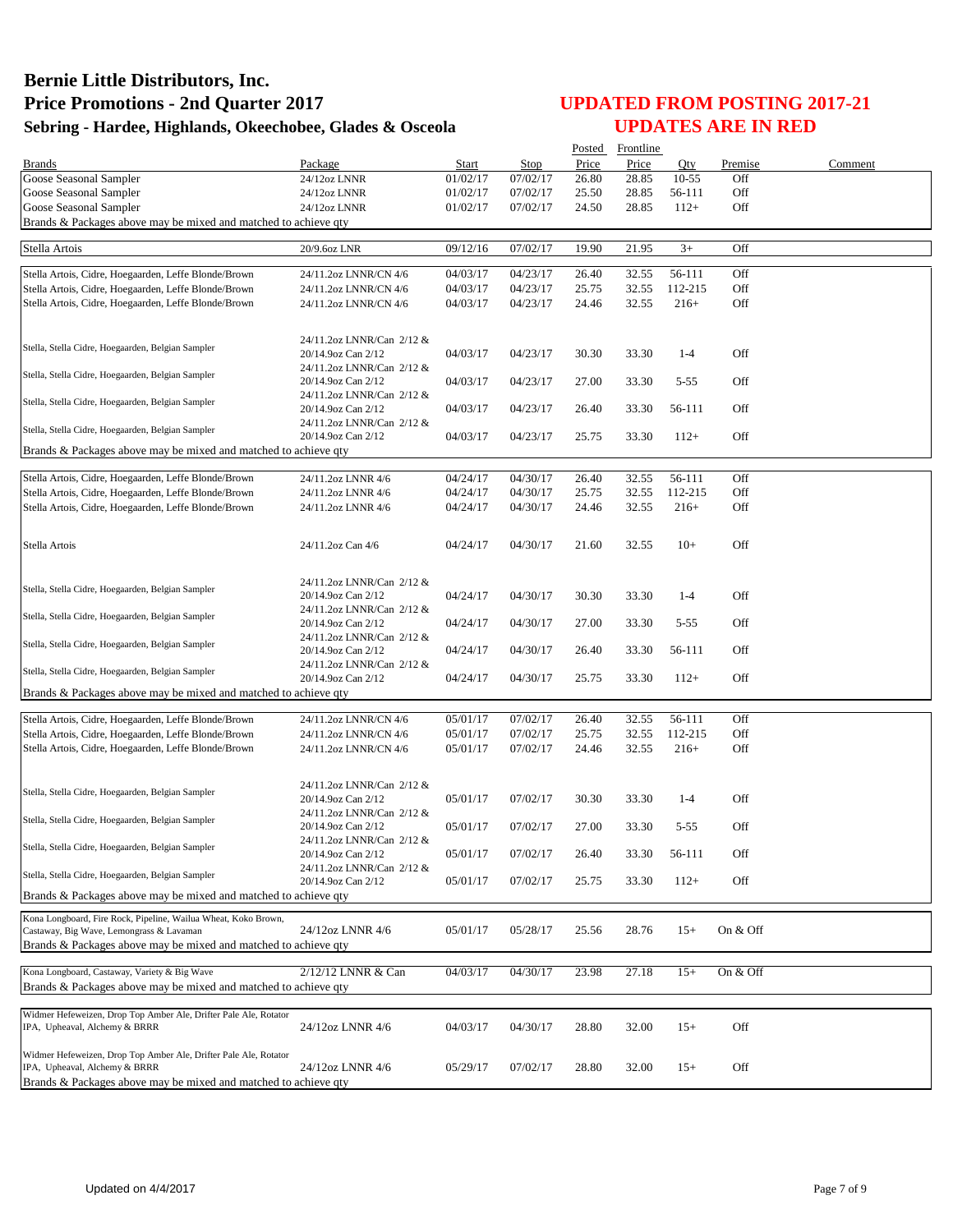|                                                                                                            |                                                 |          |          | Posted | Frontline |          |          |         |
|------------------------------------------------------------------------------------------------------------|-------------------------------------------------|----------|----------|--------|-----------|----------|----------|---------|
| <b>Brands</b>                                                                                              | Package                                         | Start    | Stop     | Price  | Price     | Qty      | Premise  | Comment |
| Goose Seasonal Sampler                                                                                     | 24/12oz LNNR                                    | 01/02/17 | 07/02/17 | 26.80  | 28.85     | $10-55$  | Off      |         |
| Goose Seasonal Sampler                                                                                     | 24/12oz LNNR                                    | 01/02/17 | 07/02/17 | 25.50  | 28.85     | 56-111   | Off      |         |
| Goose Seasonal Sampler                                                                                     | 24/12oz LNNR                                    | 01/02/17 | 07/02/17 | 24.50  | 28.85     | $112+$   | Off      |         |
| Brands & Packages above may be mixed and matched to achieve qty                                            |                                                 |          |          |        |           |          |          |         |
| Stella Artois                                                                                              | 20/9.6oz LNR                                    | 09/12/16 | 07/02/17 | 19.90  | 21.95     | $3+$     | Off      |         |
|                                                                                                            |                                                 |          |          |        |           |          |          |         |
| Stella Artois, Cidre, Hoegaarden, Leffe Blonde/Brown                                                       | 24/11.2oz LNNR/CN 4/6                           | 04/03/17 | 04/23/17 | 26.40  | 32.55     | 56-111   | Off      |         |
| Stella Artois, Cidre, Hoegaarden, Leffe Blonde/Brown                                                       | 24/11.2oz LNNR/CN 4/6                           | 04/03/17 | 04/23/17 | 25.75  | 32.55     | 112-215  | Off      |         |
| Stella Artois, Cidre, Hoegaarden, Leffe Blonde/Brown                                                       | 24/11.2oz LNNR/CN 4/6                           | 04/03/17 | 04/23/17 | 24.46  | 32.55     | $216+$   | Off      |         |
|                                                                                                            |                                                 |          |          |        |           |          |          |         |
|                                                                                                            | 24/11.2oz LNNR/Can 2/12 &                       |          |          |        |           |          |          |         |
| Stella, Stella Cidre, Hoegaarden, Belgian Sampler                                                          | 20/14.9oz Can 2/12                              | 04/03/17 | 04/23/17 | 30.30  | 33.30     | $1 - 4$  | Off      |         |
|                                                                                                            | 24/11.2oz LNNR/Can 2/12 &                       |          |          |        |           |          |          |         |
| Stella, Stella Cidre, Hoegaarden, Belgian Sampler                                                          | 20/14.9oz Can 2/12                              | 04/03/17 | 04/23/17 | 27.00  | 33.30     | $5 - 55$ | Off      |         |
| Stella, Stella Cidre, Hoegaarden, Belgian Sampler                                                          | 24/11.2oz LNNR/Can 2/12 &                       |          |          |        |           |          |          |         |
|                                                                                                            | 20/14.9oz Can 2/12                              | 04/03/17 | 04/23/17 | 26.40  | 33.30     | 56-111   | Off      |         |
| Stella, Stella Cidre, Hoegaarden, Belgian Sampler                                                          | 24/11.2oz LNNR/Can 2/12 &                       |          |          |        |           |          |          |         |
|                                                                                                            | 20/14.9oz Can 2/12                              | 04/03/17 | 04/23/17 | 25.75  | 33.30     | $112+$   | Off      |         |
| Brands & Packages above may be mixed and matched to achieve qty                                            |                                                 |          |          |        |           |          |          |         |
| Stella Artois, Cidre, Hoegaarden, Leffe Blonde/Brown                                                       | 24/11.2oz LNNR 4/6                              | 04/24/17 | 04/30/17 | 26.40  | 32.55     | 56-111   | Off      |         |
| Stella Artois, Cidre, Hoegaarden, Leffe Blonde/Brown                                                       | 24/11.2oz LNNR 4/6                              | 04/24/17 | 04/30/17 | 25.75  | 32.55     | 112-215  | Off      |         |
| Stella Artois, Cidre, Hoegaarden, Leffe Blonde/Brown                                                       | 24/11.2oz LNNR 4/6                              | 04/24/17 | 04/30/17 | 24.46  | 32.55     | $216+$   | Off      |         |
|                                                                                                            |                                                 |          |          |        |           |          |          |         |
|                                                                                                            |                                                 |          |          |        |           |          |          |         |
| Stella Artois                                                                                              | 24/11.2oz Can 4/6                               | 04/24/17 | 04/30/17 | 21.60  | 32.55     | $10+$    | Off      |         |
|                                                                                                            |                                                 |          |          |        |           |          |          |         |
| Stella, Stella Cidre, Hoegaarden, Belgian Sampler                                                          | 24/11.2oz LNNR/Can 2/12 &                       |          |          |        |           |          |          |         |
|                                                                                                            | 20/14.9oz Can 2/12                              | 04/24/17 | 04/30/17 | 30.30  | 33.30     | $1 - 4$  | Off      |         |
| Stella, Stella Cidre, Hoegaarden, Belgian Sampler                                                          | 24/11.2oz LNNR/Can 2/12 &                       |          |          |        |           |          |          |         |
|                                                                                                            | 20/14.9oz Can 2/12                              | 04/24/17 | 04/30/17 | 27.00  | 33.30     | $5 - 55$ | Off      |         |
| Stella, Stella Cidre, Hoegaarden, Belgian Sampler                                                          | 24/11.2oz LNNR/Can 2/12 &<br>20/14.9oz Can 2/12 | 04/24/17 | 04/30/17 | 26.40  | 33.30     | 56-111   | Off      |         |
|                                                                                                            | 24/11.2oz LNNR/Can 2/12 &                       |          |          |        |           |          |          |         |
| Stella, Stella Cidre, Hoegaarden, Belgian Sampler                                                          | 20/14.9oz Can 2/12                              | 04/24/17 | 04/30/17 | 25.75  | 33.30     | $112+$   | Off      |         |
| Brands & Packages above may be mixed and matched to achieve qty                                            |                                                 |          |          |        |           |          |          |         |
|                                                                                                            |                                                 |          |          |        |           |          |          |         |
| Stella Artois, Cidre, Hoegaarden, Leffe Blonde/Brown                                                       | 24/11.2oz LNNR/CN 4/6                           | 05/01/17 | 07/02/17 | 26.40  | 32.55     | 56-111   | Off      |         |
| Stella Artois, Cidre, Hoegaarden, Leffe Blonde/Brown                                                       | 24/11.2oz LNNR/CN 4/6                           | 05/01/17 | 07/02/17 | 25.75  | 32.55     | 112-215  | Off      |         |
| Stella Artois, Cidre, Hoegaarden, Leffe Blonde/Brown                                                       | 24/11.2oz LNNR/CN 4/6                           | 05/01/17 | 07/02/17 | 24.46  | 32.55     | $216+$   | Off      |         |
|                                                                                                            |                                                 |          |          |        |           |          |          |         |
|                                                                                                            | 24/11.2oz LNNR/Can 2/12 &                       |          |          |        |           |          |          |         |
| Stella, Stella Cidre, Hoegaarden, Belgian Sampler                                                          | 20/14.9oz Can 2/12                              | 05/01/17 | 07/02/17 | 30.30  | 33.30     | $1 - 4$  | Off      |         |
| Stella, Stella Cidre, Hoegaarden, Belgian Sampler                                                          | 24/11.2oz LNNR/Can 2/12 &                       |          |          |        |           |          |          |         |
|                                                                                                            | 20/14.9oz Can 2/12                              | 05/01/17 | 07/02/17 | 27.00  | 33.30     | $5 - 55$ | Off      |         |
| Stella, Stella Cidre, Hoegaarden, Belgian Sampler                                                          | 24/11.2oz LNNR/Can 2/12 &<br>20/14.9oz Can 2/12 |          |          |        |           |          |          |         |
|                                                                                                            | 24/11.2oz LNNR/Can 2/12 &                       | 05/01/17 | 07/02/17 | 26.40  | 33.30     | 56-111   | Off      |         |
| Stella, Stella Cidre, Hoegaarden, Belgian Sampler                                                          | 20/14.9oz Can 2/12                              | 05/01/17 | 07/02/17 | 25.75  | 33.30     | $112+$   | Off      |         |
| Brands & Packages above may be mixed and matched to achieve qty                                            |                                                 |          |          |        |           |          |          |         |
|                                                                                                            |                                                 |          |          |        |           |          |          |         |
| Kona Longboard, Fire Rock, Pipeline, Wailua Wheat, Koko Brown,<br>Castaway, Big Wave, Lemongrass & Lavaman | 24/12oz LNNR 4/6                                | 05/01/17 | 05/28/17 | 25.56  | 28.76     | $15+$    | On & Off |         |
| Brands & Packages above may be mixed and matched to achieve qty                                            |                                                 |          |          |        |           |          |          |         |
|                                                                                                            |                                                 |          |          |        |           |          |          |         |
| Kona Longboard, Castaway, Variety & Big Wave                                                               | 2/12/12 LNNR & Can                              | 04/03/17 | 04/30/17 | 23.98  | 27.18     | $15+$    | On & Off |         |
| Brands & Packages above may be mixed and matched to achieve gty                                            |                                                 |          |          |        |           |          |          |         |
|                                                                                                            |                                                 |          |          |        |           |          |          |         |
| Widmer Hefeweizen, Drop Top Amber Ale, Drifter Pale Ale, Rotator                                           |                                                 |          |          |        |           |          |          |         |
| IPA, Upheaval, Alchemy & BRRR                                                                              | 24/12oz LNNR 4/6                                | 04/03/17 | 04/30/17 | 28.80  | 32.00     | $15+$    | Off      |         |
| Widmer Hefeweizen, Drop Top Amber Ale, Drifter Pale Ale, Rotator                                           |                                                 |          |          |        |           |          |          |         |
| IPA, Upheaval, Alchemy & BRRR                                                                              | 24/12oz LNNR 4/6                                | 05/29/17 | 07/02/17 | 28.80  | 32.00     | $15+$    | Off      |         |
| Brands & Packages above may be mixed and matched to achieve qty                                            |                                                 |          |          |        |           |          |          |         |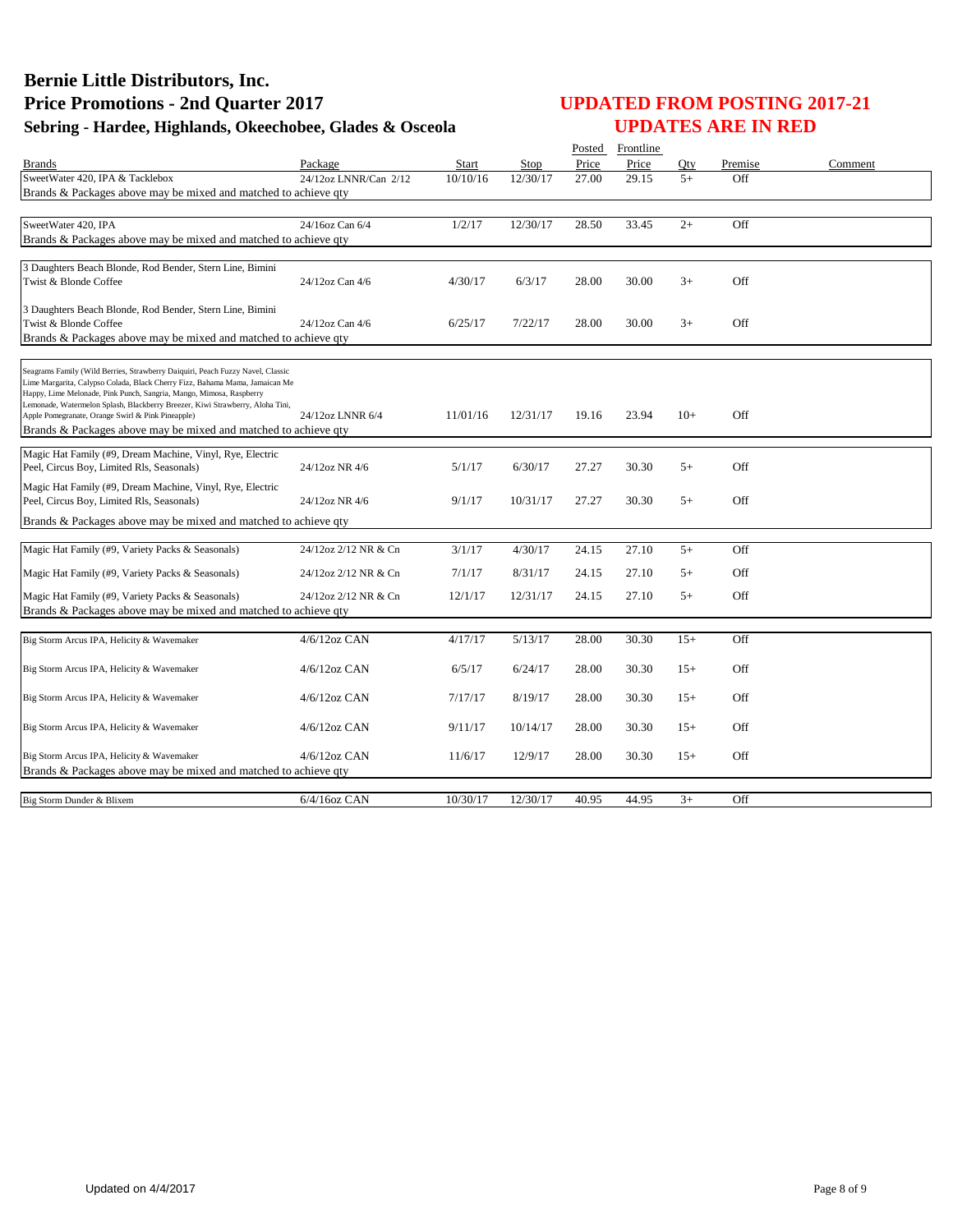|                                                                                                                                                               |                       |          |          |       | Posted Frontline |       |         |         |
|---------------------------------------------------------------------------------------------------------------------------------------------------------------|-----------------------|----------|----------|-------|------------------|-------|---------|---------|
| <b>Brands</b>                                                                                                                                                 | Package               | Start    | Stop     | Price | Price            | Otv   | Premise | Comment |
| SweetWater 420, IPA & Tacklebox                                                                                                                               | 24/12oz LNNR/Can 2/12 | 10/10/16 | 12/30/17 | 27.00 | 29.15            | $5+$  | Off     |         |
| Brands & Packages above may be mixed and matched to achieve gty                                                                                               |                       |          |          |       |                  |       |         |         |
|                                                                                                                                                               |                       |          |          |       |                  |       |         |         |
| SweetWater 420, IPA                                                                                                                                           | 24/16oz Can 6/4       | 1/2/17   | 12/30/17 | 28.50 | 33.45            | $2+$  | Off     |         |
| Brands & Packages above may be mixed and matched to achieve qty                                                                                               |                       |          |          |       |                  |       |         |         |
| 3 Daughters Beach Blonde, Rod Bender, Stern Line, Bimini                                                                                                      |                       |          |          |       |                  |       |         |         |
| Twist & Blonde Coffee                                                                                                                                         | 24/12oz Can 4/6       | 4/30/17  | 6/3/17   | 28.00 | 30.00            | $3+$  | Off     |         |
|                                                                                                                                                               |                       |          |          |       |                  |       |         |         |
| 3 Daughters Beach Blonde, Rod Bender, Stern Line, Bimini                                                                                                      |                       |          |          |       |                  |       |         |         |
| Twist & Blonde Coffee                                                                                                                                         | 24/12oz Can 4/6       | 6/25/17  | 7/22/17  | 28.00 | 30.00            | $3+$  | Off     |         |
| Brands & Packages above may be mixed and matched to achieve qty                                                                                               |                       |          |          |       |                  |       |         |         |
|                                                                                                                                                               |                       |          |          |       |                  |       |         |         |
| Seagrams Family (Wild Berries, Strawberry Daiquiri, Peach Fuzzy Navel, Classic<br>Lime Margarita, Calypso Colada, Black Cherry Fizz, Bahama Mama, Jamaican Me |                       |          |          |       |                  |       |         |         |
| Happy, Lime Melonade, Pink Punch, Sangria, Mango, Mimosa, Raspberry                                                                                           |                       |          |          |       |                  |       |         |         |
| Lemonade, Watermelon Splash, Blackberry Breezer, Kiwi Strawberry, Aloha Tini,<br>Apple Pomegranate, Orange Swirl & Pink Pineapple)                            | 24/12oz LNNR 6/4      | 11/01/16 | 12/31/17 | 19.16 | 23.94            | $10+$ | Off     |         |
| Brands & Packages above may be mixed and matched to achieve qty                                                                                               |                       |          |          |       |                  |       |         |         |
|                                                                                                                                                               |                       |          |          |       |                  |       |         |         |
| Magic Hat Family (#9, Dream Machine, Vinyl, Rye, Electric                                                                                                     | 24/12oz NR 4/6        | 5/1/17   | 6/30/17  | 27.27 | 30.30            | $5+$  | Off     |         |
| Peel, Circus Boy, Limited Rls, Seasonals)                                                                                                                     |                       |          |          |       |                  |       |         |         |
| Magic Hat Family (#9, Dream Machine, Vinyl, Rye, Electric                                                                                                     |                       |          |          |       |                  |       |         |         |
| Peel, Circus Boy, Limited Rls, Seasonals)                                                                                                                     | 24/12oz NR 4/6        | 9/1/17   | 10/31/17 | 27.27 | 30.30            | $5+$  | Off     |         |
| Brands & Packages above may be mixed and matched to achieve qty                                                                                               |                       |          |          |       |                  |       |         |         |
| Magic Hat Family (#9, Variety Packs & Seasonals)                                                                                                              | 24/12oz 2/12 NR & Cn  | 3/1/17   | 4/30/17  | 24.15 | 27.10            | $5+$  | Off     |         |
|                                                                                                                                                               |                       |          |          |       |                  |       |         |         |
| Magic Hat Family (#9, Variety Packs & Seasonals)                                                                                                              | 24/12oz 2/12 NR & Cn  | 7/1/17   | 8/31/17  | 24.15 | 27.10            | $5+$  | Off     |         |
| Magic Hat Family (#9, Variety Packs & Seasonals)                                                                                                              | 24/12oz 2/12 NR & Cn  | 12/1/17  | 12/31/17 | 24.15 | 27.10            | $5+$  | Off     |         |
| Brands & Packages above may be mixed and matched to achieve qty                                                                                               |                       |          |          |       |                  |       |         |         |
|                                                                                                                                                               |                       |          |          |       |                  |       |         |         |
| Big Storm Arcus IPA, Helicity & Wavemaker                                                                                                                     | $4/6/12$ oz CAN       | 4/17/17  | 5/13/17  | 28.00 | 30.30            | $15+$ | Off     |         |
|                                                                                                                                                               |                       |          |          |       |                  |       | Off     |         |
| Big Storm Arcus IPA, Helicity & Wavemaker                                                                                                                     | $4/6/12oz$ CAN        | 6/5/17   | 6/24/17  | 28.00 | 30.30            | $15+$ |         |         |
| Big Storm Arcus IPA, Helicity & Wavemaker                                                                                                                     | $4/6/12oz$ CAN        | 7/17/17  | 8/19/17  | 28.00 | 30.30            | $15+$ | Off     |         |
|                                                                                                                                                               |                       |          |          |       |                  |       |         |         |
| Big Storm Arcus IPA, Helicity & Wavemaker                                                                                                                     | $4/6/12$ oz CAN       | 9/11/17  | 10/14/17 | 28.00 | 30.30            | $15+$ | Off     |         |
|                                                                                                                                                               |                       |          |          |       |                  |       |         |         |
| Big Storm Arcus IPA, Helicity & Wavemaker                                                                                                                     | $4/6/12$ oz CAN       | 11/6/17  | 12/9/17  | 28.00 | 30.30            | $15+$ | Off     |         |
| Brands & Packages above may be mixed and matched to achieve qty                                                                                               |                       |          |          |       |                  |       |         |         |
| Big Storm Dunder & Blixem                                                                                                                                     | $6/4/16$ oz CAN       | 10/30/17 | 12/30/17 | 40.95 | 44.95            | $3+$  | Off     |         |
|                                                                                                                                                               |                       |          |          |       |                  |       |         |         |